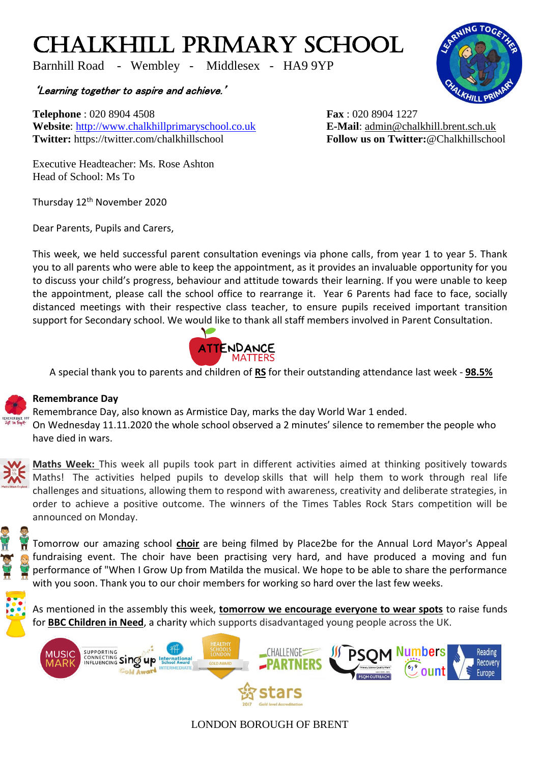## CHALKHILL PRIMARY SCHOOL

Barnhill Road - Wembley - Middlesex - HA9 9YP

## 'Learning together to aspire and achieve.'

**Telephone** : 020 8904 4508 **Fax** : 020 8904 1227 **Website**: [http://www.chalkhillprimaryschool.co.uk](http://www.chalkhillprimaryschool.co.uk/) **E-Mail**: [admin@chalkhill.brent.sch.uk](mailto:admin@chalkhill.brent.sch.uk) **Twitter:** https://twitter.com/chalkhillschool **Follow us on Twitter:**@Chalkhillschool

Executive Headteacher: Ms. Rose Ashton Head of School: Ms To

Thursday 12<sup>th</sup> November 2020

Dear Parents, Pupils and Carers,

This week, we held successful parent consultation evenings via phone calls, from year 1 to year 5. Thank you to all parents who were able to keep the appointment, as it provides an invaluable opportunity for you to discuss your child's progress, behaviour and attitude towards their learning. If you were unable to keep the appointment, please call the school office to rearrange it. Year 6 Parents had face to face, socially distanced meetings with their respective class teacher, to ensure pupils received important transition support for Secondary school. We would like to thank all staff members involved in Parent Consultation.



A special thank you to parents and children of **RS** for their outstanding attendance last week - **98.5%**



## **Remembrance Day**

Remembrance Day, also known as Armistice Day, marks the day World War 1 ended. On Wednesday 11.11.2020 the whole school observed a 2 minutes' silence to remember the people who have died in wars.



**Maths Week:** This week all pupils took part in different activities aimed at thinking positively towards Maths! The activities helped pupils to develop skills that will help them to work through real life challenges and situations, allowing them to respond with awareness, creativity and deliberate strategies, in order to achieve a positive outcome. The winners of the Times Tables Rock Stars competition will be announced on Monday.

Tomorrow our amazing school **choir** are being filmed by Place2be for the Annual Lord Mayor's Appeal fundraising event. The choir have been practising very hard, and have produced a moving and fun performance of "When I Grow Up from Matilda the musical. We hope to be able to share the performance with you soon. Thank you to our choir members for working so hard over the last few weeks.

As mentioned in the assembly this week, **tomorrow we encourage everyone to wear spots** to raise funds for **BBC Children in Need**, a charity which supports disadvantaged young people across the UK.



LONDON BOROUGH OF BRENT